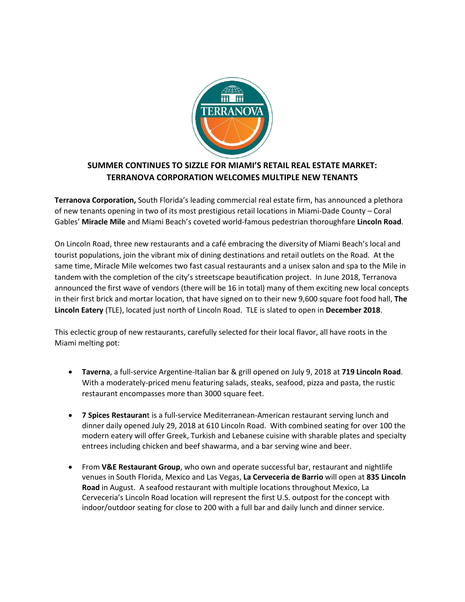

## **SUMMER CONTINUES TO SIZZLE FOR MIAMI'S RETAIL REAL ESTATE MARKET: TERRANOVA CORPORATION WELCOMES MULTIPLE NEW TENANTS**

**Terranova Corporation,** South Florida's leading commercial real estate firm, has announced a plethora of new tenants opening in two of its most prestigious retail locations in Miami-Dade County – Coral Gables' **Miracle Mile** and Miami Beach's coveted world-famous pedestrian thoroughfare **Lincoln Road**.

On Lincoln Road, three new restaurants and a café embracing the diversity of Miami Beach's local and tourist populations, join the vibrant mix of dining destinations and retail outlets on the Road. At the same time, Miracle Mile welcomes two fast casual restaurants and a unisex salon and spa to the Mile in tandem with the completion of the city's streetscape beautification project. In June 2018, Terranova announced the first wave of vendors (there will be 16 in total) many of them exciting new local concepts in their first brick and mortar location, that have signed on to their new 9,600 square foot food hall, **The Lincoln Eatery** (TLE), located just north of Lincoln Road. TLE is slated to open in **December 2018**.

This eclectic group of new restaurants, carefully selected for their local flavor, all have roots in the Miami melting pot:

- **Taverna**, a full-service Argentine-Italian bar & grill opened on July 9, 2018 at **719 Lincoln Road**. With a moderately-priced menu featuring salads, steaks, seafood, pizza and pasta, the rustic restaurant encompasses more than 3000 square feet.
- **7 Spices Restauran**t is a full-service Mediterranean-American restaurant serving lunch and dinner daily opened July 29, 2018 at 610 Lincoln Road. With combined seating for over 100 the modern eatery will offer Greek, Turkish and Lebanese cuisine with sharable plates and specialty entrees including chicken and beef shawarma, and a bar serving wine and beer.
- From **V&E Restaurant Group**, who own and operate successful bar, restaurant and nightlife venues in South Florida, Mexico and Las Vegas, **La Cerveceria de Barrio** will open at **835 Lincoln Road** in August. A seafood restaurant with multiple locations throughout Mexico, La Cerveceria's Lincoln Road location will represent the first U.S. outpost for the concept with indoor/outdoor seating for close to 200 with a full bar and daily lunch and dinner service.